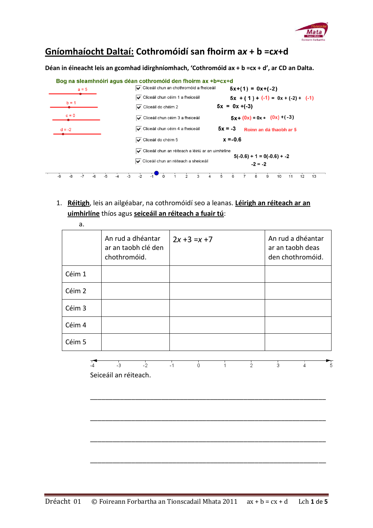

## **Gníomhaíocht Daltaí: Cothromóidí san fhoirm a***x* **+ b =c***x***+d**

**Déan in éineacht leis an gcomhad idirghníomhach, 'Cothromóid ax + b =cx + d', ar CD an Dalta.**



1. **Réitigh**, leis an ailgéabar, na cothromóidí seo a leanas. **Léirigh an réiteach ar an uimhirlíne** thíos agus **seiceáil an réiteach a fuair tú**:

| a.     |                                                          |                  |                                                           |
|--------|----------------------------------------------------------|------------------|-----------------------------------------------------------|
|        | An rud a dhéantar<br>ar an taobh clé den<br>chothromóid. | $2x + 3 = x + 7$ | An rud a dhéantar<br>ar an taobh deas<br>den chothromóid. |
| Céim 1 |                                                          |                  |                                                           |
| Céim 2 |                                                          |                  |                                                           |
| Céim 3 |                                                          |                  |                                                           |
| Céim 4 |                                                          |                  |                                                           |
| Céim 5 |                                                          |                  |                                                           |
|        | C.<br>G.                                                 | o.<br>n.         | Q                                                         |

\_\_\_\_\_\_\_\_\_\_\_\_\_\_\_\_\_\_\_\_\_\_\_\_\_\_\_\_\_\_\_\_\_\_\_\_\_\_\_\_\_\_\_\_\_\_\_\_\_\_\_\_\_\_\_\_\_\_\_\_\_\_\_

\_\_\_\_\_\_\_\_\_\_\_\_\_\_\_\_\_\_\_\_\_\_\_\_\_\_\_\_\_\_\_\_\_\_\_\_\_\_\_\_\_\_\_\_\_\_\_\_\_\_\_\_\_\_\_\_\_\_\_\_\_\_\_

\_\_\_\_\_\_\_\_\_\_\_\_\_\_\_\_\_\_\_\_\_\_\_\_\_\_\_\_\_\_\_\_\_\_\_\_\_\_\_\_\_\_\_\_\_\_\_\_\_\_\_\_\_\_\_\_\_\_\_\_\_\_\_

\_\_\_\_\_\_\_\_\_\_\_\_\_\_\_\_\_\_\_\_\_\_\_\_\_\_\_\_\_\_\_\_\_\_\_\_\_\_\_\_\_\_\_\_\_\_\_\_\_\_\_\_\_\_\_\_\_\_\_\_\_\_\_

Seiceáil an réiteach.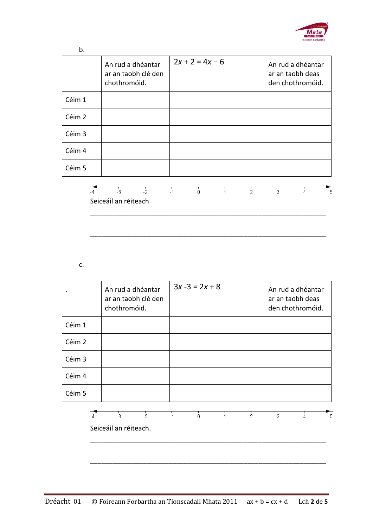

| b.     |                                                          |                   |                                                           |
|--------|----------------------------------------------------------|-------------------|-----------------------------------------------------------|
|        | An rud a dhéantar<br>ar an taobh clé den<br>chothromóid. | $2x + 2 = 4x - 6$ | An rud a dhéantar<br>ar an taobh deas<br>den chothromóid. |
| Céim 1 |                                                          |                   |                                                           |
| Céim 2 |                                                          |                   |                                                           |
| Céim 3 |                                                          |                   |                                                           |
| Céim 4 |                                                          |                   |                                                           |
| Céim 5 |                                                          |                   |                                                           |
| -4     | $\frac{1}{3}$<br>$-2$<br>Seiceáil an réiteach            | 0<br>2<br>$-1$    | $\frac{1}{3}$<br>5<br>4                                   |

\_\_\_\_\_\_\_\_\_\_\_\_\_\_\_\_\_\_\_\_\_\_\_\_\_\_\_\_\_\_\_\_\_\_\_\_\_\_\_\_\_\_\_\_\_\_\_\_\_\_\_\_\_\_\_\_\_\_\_\_\_\_\_

\_\_\_\_\_\_\_\_\_\_\_\_\_\_\_\_\_\_\_\_\_\_\_\_\_\_\_\_\_\_\_\_\_\_\_\_\_\_\_\_\_\_\_\_\_\_\_\_\_\_\_\_\_\_\_\_\_\_\_\_\_\_\_

c.

|        | An rud a dhéantar<br>ar an taobh clé den<br>chothromóid. | $3x - 3 = 2x + 8$ | An rud a dhéantar<br>ar an taobh deas<br>den chothromóid. |
|--------|----------------------------------------------------------|-------------------|-----------------------------------------------------------|
| Céim 1 |                                                          |                   |                                                           |
| Céim 2 |                                                          |                   |                                                           |
| Céim 3 |                                                          |                   |                                                           |
| Céim 4 |                                                          |                   |                                                           |
| Céim 5 |                                                          |                   |                                                           |
| -4     | $-3$<br>$-2$<br>Seiceáil an réiteach.                    | $-1$<br>0<br>2    | 3<br>4<br>5                                               |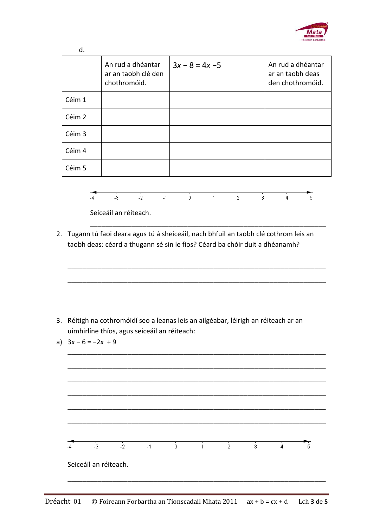

| d.     |                                                          |                   |                                                           |
|--------|----------------------------------------------------------|-------------------|-----------------------------------------------------------|
|        | An rud a dhéantar<br>ar an taobh clé den<br>chothromóid. | $3x - 8 = 4x - 5$ | An rud a dhéantar<br>ar an taobh deas<br>den chothromóid. |
| Céim 1 |                                                          |                   |                                                           |
| Céim 2 |                                                          |                   |                                                           |
| Céim 3 |                                                          |                   |                                                           |
| Céim 4 |                                                          |                   |                                                           |
| Céim 5 |                                                          |                   |                                                           |
|        |                                                          |                   |                                                           |

$$
\begin{array}{cccccccccccc}\n-4 & -3 & -2 & -1 & 0 & 1 & 2 & 3 & 4 & 5\n\end{array}
$$

\_\_\_\_\_\_\_\_\_\_\_\_\_\_\_\_\_\_\_\_\_\_\_\_\_\_\_\_\_\_\_\_\_\_\_\_\_\_\_\_\_\_\_\_\_\_\_\_\_\_\_\_\_\_\_\_\_\_\_\_\_\_\_

Seiceáil an réiteach.

2. Tugann tú faoi deara agus tú á sheiceáil, nach bhfuil an taobh clé cothrom leis an taobh deas: céard a thugann sé sin le fios? Céard ba chóir duit a dhéanamh?

\_\_\_\_\_\_\_\_\_\_\_\_\_\_\_\_\_\_\_\_\_\_\_\_\_\_\_\_\_\_\_\_\_\_\_\_\_\_\_\_\_\_\_\_\_\_\_\_\_\_\_\_\_\_\_\_\_\_\_\_\_\_\_\_\_\_\_\_\_

\_\_\_\_\_\_\_\_\_\_\_\_\_\_\_\_\_\_\_\_\_\_\_\_\_\_\_\_\_\_\_\_\_\_\_\_\_\_\_\_\_\_\_\_\_\_\_\_\_\_\_\_\_\_\_\_\_\_\_\_\_\_\_\_\_\_\_\_\_

- 3. Réitigh na cothromóidí seo a leanas leis an ailgéabar, léirigh an réiteach ar an uimhirlíne thíos, agus seiceáil an réiteach:
- a) 3*x* − 6 = −2*x* + 9

| -4 | ⊤<br>$-3$             | $-2$ | $-1$ | 0 | $\overline{2}$ | 3 | 4 | 5 |
|----|-----------------------|------|------|---|----------------|---|---|---|
|    | Seiceáil an réiteach. |      |      |   |                |   |   |   |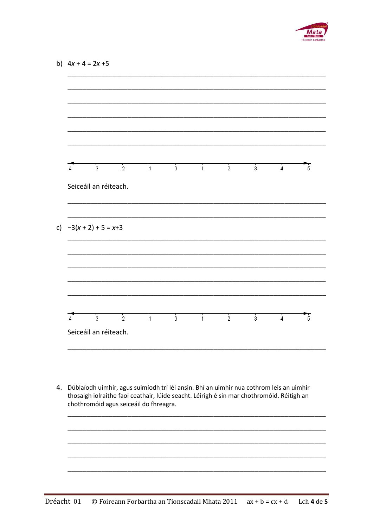

b)  $4x + 4 = 2x + 5$ 

| $\sqrt{4}$ | $-3$                       | $\frac{1}{2}$ | $-1$ | $\overline{0}$ |              | $\frac{1}{2}$ | $\overline{3}$ | $\frac{1}{4}$ |   |
|------------|----------------------------|---------------|------|----------------|--------------|---------------|----------------|---------------|---|
|            | Seiceáil an réiteach.      |               |      |                | $\mathbf{1}$ |               |                |               | 5 |
|            | c) $-3(x + 2) + 5 = x + 3$ |               |      |                |              |               |                |               |   |
|            |                            |               |      |                |              |               |                |               |   |
| $\sqrt{4}$ | $\frac{1}{3}$              | $\frac{1}{2}$ | $-1$ | Ò              | 1            | $\frac{1}{2}$ | $\dot{3}$      | $\ddot{4}$    | 5 |

4. Dúblaíodh uimhir, agus suimíodh trí léi ansin. Bhí an uimhir nua cothrom leis an uimhir thosaigh iolraithe faoi ceathair, lúide seacht. Léirigh é sin mar chothromóid. Réitigh an chothromóid agus seiceáil do fhreagra.